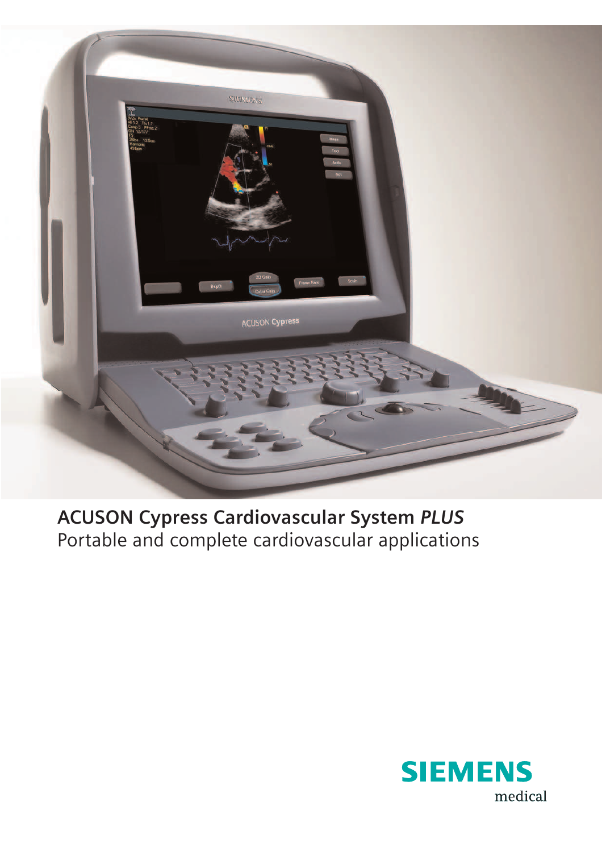

**ACUSON Cypress Cardiovascular System** *PLUS* Portable and complete cardiovascular applications

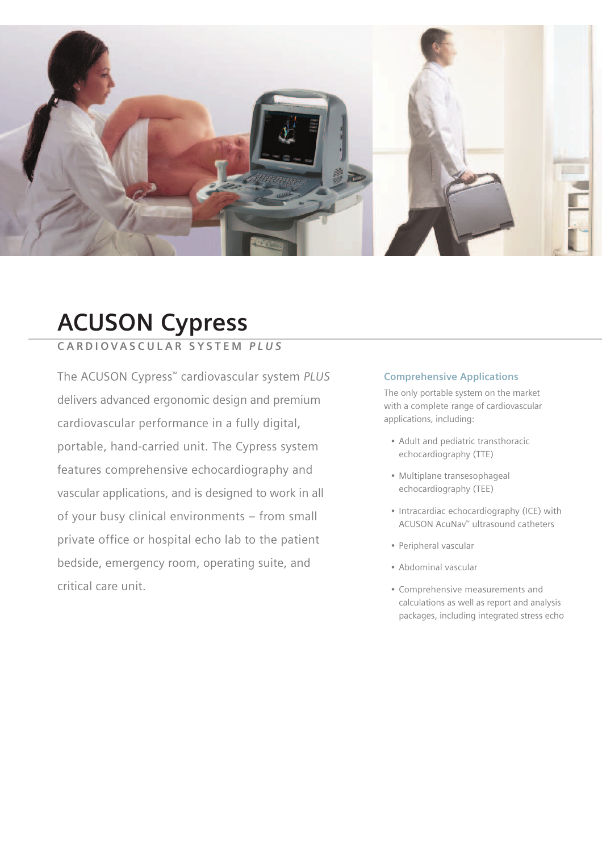

## **ACUSON Cypress**

### **C A R D I O V A S C U L A R S Y S T E M** *P L U S*

The ACUSON Cypress™ cardiovascular system *PLUS* delivers advanced ergonomic design and premium cardiovascular performance in a fully digital, portable, hand-carried unit. The Cypress system features comprehensive echocardiography and vascular applications, and is designed to work in all of your busy clinical environments – from small private office or hospital echo lab to the patient bedside, emergency room, operating suite, and critical care unit.

#### **Comprehensive Applications**

The only portable system on the market with a complete range of cardiovascular applications, including:

- Adult and pediatric transthoracic echocardiography (TTE)
- Multiplane transesophageal echocardiography (TEE)
- Intracardiac echocardiography (ICE) with ACUSON AcuNav™ ultrasound catheters
- Peripheral vascular
- Abdominal vascular
- Comprehensive measurements and calculations as well as report and analysis packages, including integrated stress echo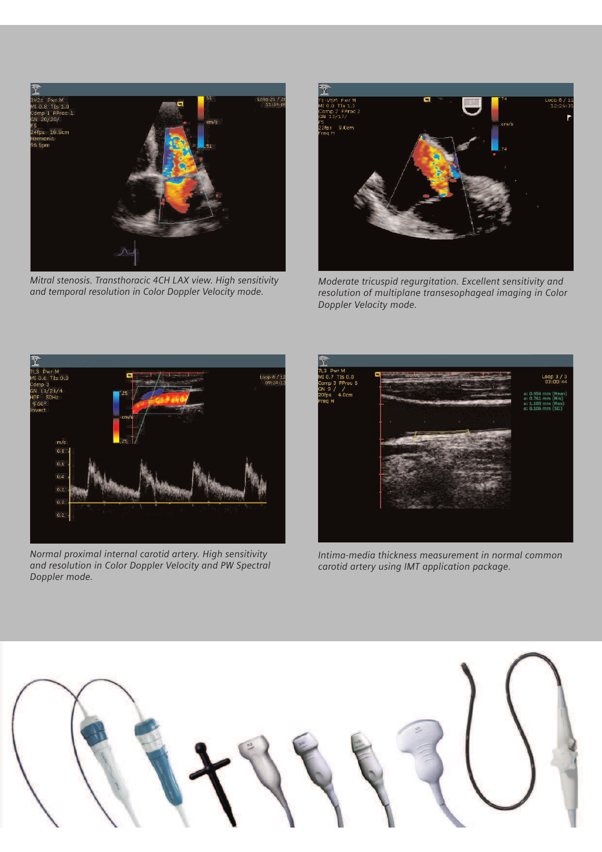

*Mitral stenosis. Transthoracic 4CH LAX view. High sensitivity and temporal resolution in Color Doppler Velocity mode.*



*Moderate tricuspid regurgitation. Excellent sensitivity and resolution of multiplane transesophageal imaging in Color Doppler Velocity mode.*



*Normal proximal internal carotid artery. High sensitivity and resolution in Color Doppler Velocity and PW Spectral Doppler mode.*



*Intima-media thickness measurement in normal common carotid artery using IMT application package.*

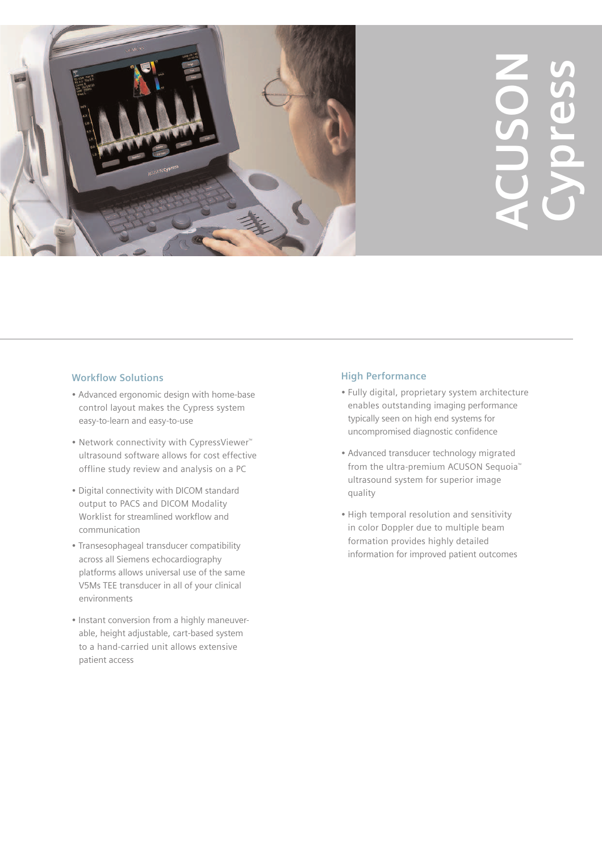

# **ACUSON Cypress**

#### **Workflow Solutions**

- Advanced ergonomic design with home-base control layout makes the Cypress system easy-to-learn and easy-to-use
- Network connectivity with CypressViewer™ ultrasound software allows for cost effective offline study review and analysis on a PC
- Digital connectivity with DICOM standard output to PACS and DICOM Modality Worklist for streamlined workflow and communication
- Transesophageal transducer compatibility across all Siemens echocardiography platforms allows universal use of the same V5Ms TEE transducer in all of your clinical environments
- Instant conversion from a highly maneuverable, height adjustable, cart-based system to a hand-carried unit allows extensive patient access

#### **High Performance**

- Fully digital, proprietary system architecture enables outstanding imaging performance typically seen on high end systems for uncompromised diagnostic confidence
- Advanced transducer technology migrated from the ultra-premium ACUSON Sequoia<sup>™</sup> ultrasound system for superior image quality
- High temporal resolution and sensitivity in color Doppler due to multiple beam formation provides highly detailed information for improved patient outcomes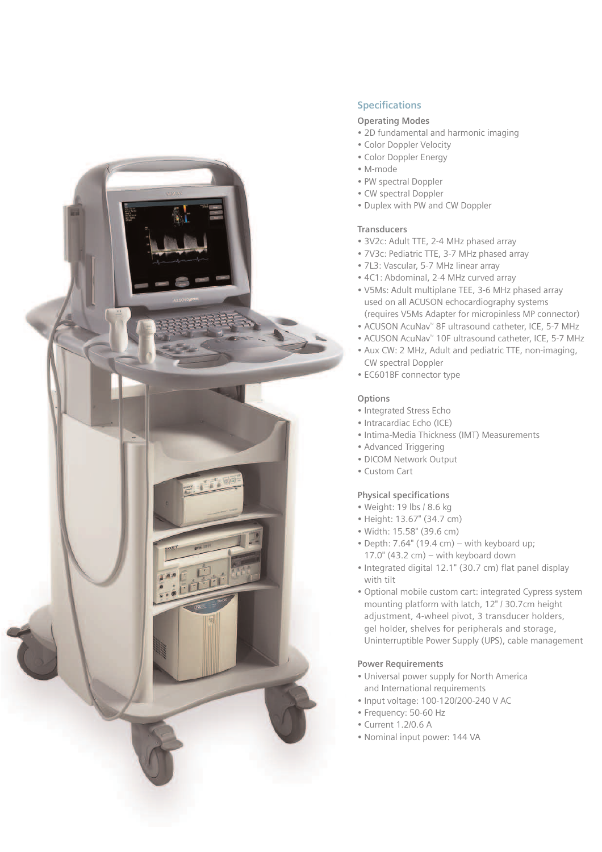

#### **Specifications**

#### **Operating Modes**

- 2D fundamental and harmonic imaging
- Color Doppler Velocity
- Color Doppler Energy
- M-mode
- PW spectral Doppler
- CW spectral Doppler
- Duplex with PW and CW Doppler

#### **Transducers**

- 3V2c: Adult TTE, 2-4 MHz phased array
- 7V3c: Pediatric TTE, 3-7 MHz phased array
- 7L3: Vascular, 5-7 MHz linear array
- 4C1: Abdominal, 2-4 MHz curved array
- V5Ms: Adult multiplane TEE, 3-6 MHz phased array used on all ACUSON echocardiography systems (requires V5Ms Adapter for micropinless MP connector)
- ACUSON AcuNav™ 8F ultrasound catheter, ICE, 5-7 MHz
- ACUSON AcuNav™ 10F ultrasound catheter, ICE, 5-7 MHz
- Aux CW: 2 MHz, Adult and pediatric TTE, non-imaging, CW spectral Doppler
- EC601BF connector type

#### **Options**

- Integrated Stress Echo
- Intracardiac Echo (ICE)
- Intima-Media Thickness (IMT) Measurements
- Advanced Triggering
- DICOM Network Output
- Custom Cart

#### **Physical specifications**

- Weight: 19 lbs / 8.6 kg
- Height: 13.67" (34.7 cm)
- Width: 15.58" (39.6 cm)
- Depth: 7.64" (19.4 cm) with keyboard up;  $17.0$ " (43.2 cm) – with keyboard down
- Integrated digital 12.1" (30.7 cm) flat panel display with tilt
- Optional mobile custom cart: integrated Cypress system mounting platform with latch, 12" / 30.7cm height adjustment, 4-wheel pivot, 3 transducer holders, gel holder, shelves for peripherals and storage, Uninterruptible Power Supply (UPS), cable management

#### **Power Requirements**

- Universal power supply for North America and International requirements
- Input voltage: 100-120/200-240 V AC
- Frequency: 50-60 Hz
- Current 1.2/0.6 A
- Nominal input power: 144 VA